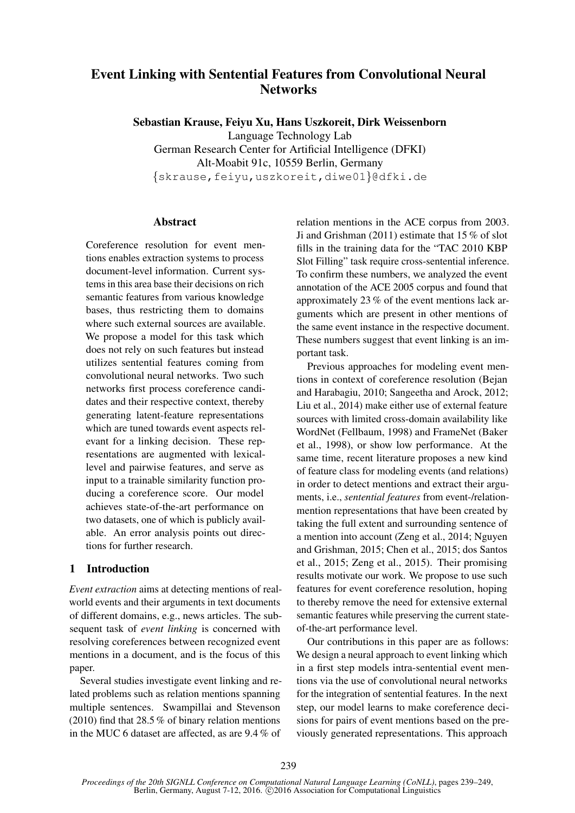# Event Linking with Sentential Features from Convolutional Neural **Networks**

Sebastian Krause, Feiyu Xu, Hans Uszkoreit, Dirk Weissenborn Language Technology Lab German Research Center for Artificial Intelligence (DFKI) Alt-Moabit 91c, 10559 Berlin, Germany {skrause,feiyu,uszkoreit,diwe01}@dfki.de

## **Abstract**

Coreference resolution for event mentions enables extraction systems to process document-level information. Current systems in this area base their decisions on rich semantic features from various knowledge bases, thus restricting them to domains where such external sources are available. We propose a model for this task which does not rely on such features but instead utilizes sentential features coming from convolutional neural networks. Two such networks first process coreference candidates and their respective context, thereby generating latent-feature representations which are tuned towards event aspects relevant for a linking decision. These representations are augmented with lexicallevel and pairwise features, and serve as input to a trainable similarity function producing a coreference score. Our model achieves state-of-the-art performance on two datasets, one of which is publicly available. An error analysis points out directions for further research.

## 1 Introduction

*Event extraction* aims at detecting mentions of realworld events and their arguments in text documents of different domains, e.g., news articles. The subsequent task of *event linking* is concerned with resolving coreferences between recognized event mentions in a document, and is the focus of this paper.

Several studies investigate event linking and related problems such as relation mentions spanning multiple sentences. Swampillai and Stevenson (2010) find that 28.5 % of binary relation mentions in the MUC 6 dataset are affected, as are 9.4 % of

relation mentions in the ACE corpus from 2003. Ji and Grishman (2011) estimate that 15 % of slot fills in the training data for the "TAC 2010 KBP Slot Filling" task require cross-sentential inference. To confirm these numbers, we analyzed the event annotation of the ACE 2005 corpus and found that approximately 23 % of the event mentions lack arguments which are present in other mentions of the same event instance in the respective document. These numbers suggest that event linking is an important task.

Previous approaches for modeling event mentions in context of coreference resolution (Bejan and Harabagiu, 2010; Sangeetha and Arock, 2012; Liu et al., 2014) make either use of external feature sources with limited cross-domain availability like WordNet (Fellbaum, 1998) and FrameNet (Baker et al., 1998), or show low performance. At the same time, recent literature proposes a new kind of feature class for modeling events (and relations) in order to detect mentions and extract their arguments, i.e., *sentential features* from event-/relationmention representations that have been created by taking the full extent and surrounding sentence of a mention into account (Zeng et al., 2014; Nguyen and Grishman, 2015; Chen et al., 2015; dos Santos et al., 2015; Zeng et al., 2015). Their promising results motivate our work. We propose to use such features for event coreference resolution, hoping to thereby remove the need for extensive external semantic features while preserving the current stateof-the-art performance level.

Our contributions in this paper are as follows: We design a neural approach to event linking which in a first step models intra-sentential event mentions via the use of convolutional neural networks for the integration of sentential features. In the next step, our model learns to make coreference decisions for pairs of event mentions based on the previously generated representations. This approach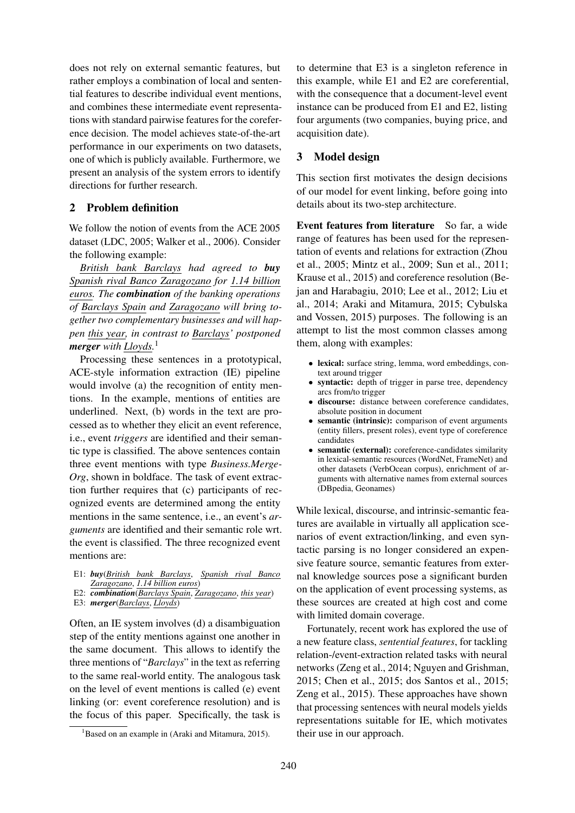does not rely on external semantic features, but rather employs a combination of local and sentential features to describe individual event mentions, and combines these intermediate event representations with standard pairwise features for the coreference decision. The model achieves state-of-the-art performance in our experiments on two datasets, one of which is publicly available. Furthermore, we present an analysis of the system errors to identify directions for further research.

# 2 Problem definition

We follow the notion of events from the ACE 2005 dataset (LDC, 2005; Walker et al., 2006). Consider the following example:

*British bank Barclays had agreed to buy Spanish rival Banco Zaragozano for 1.14 billion euros. The combination of the banking operations of Barclays Spain and Zaragozano will bring together two complementary businesses and will happen this year, in contrast to Barclays' postponed merger with Lloyds.*<sup>1</sup>

Processing these sentences in a prototypical, ACE-style information extraction (IE) pipeline would involve (a) the recognition of entity mentions. In the example, mentions of entities are underlined. Next, (b) words in the text are processed as to whether they elicit an event reference, i.e., event *triggers* are identified and their semantic type is classified. The above sentences contain three event mentions with type *Business.Merge-Org*, shown in boldface. The task of event extraction further requires that (c) participants of recognized events are determined among the entity mentions in the same sentence, i.e., an event's *arguments* are identified and their semantic role wrt. the event is classified. The three recognized event mentions are:

- E1: *buy*(*British bank Barclays*, *Spanish rival Banco Zaragozano*, *1.14 billion euros*)
- E2: *combination*(*Barclays Spain*, *Zaragozano*, *this year*)
- E3: *merger*(*Barclays*, *Lloyds*)

Often, an IE system involves (d) a disambiguation step of the entity mentions against one another in the same document. This allows to identify the three mentions of "*Barclays*" in the text as referring to the same real-world entity. The analogous task on the level of event mentions is called (e) event linking (or: event coreference resolution) and is the focus of this paper. Specifically, the task is

to determine that E3 is a singleton reference in this example, while E1 and E2 are coreferential, with the consequence that a document-level event instance can be produced from E1 and E2, listing four arguments (two companies, buying price, and acquisition date).

## 3 Model design

This section first motivates the design decisions of our model for event linking, before going into details about its two-step architecture.

Event features from literature So far, a wide range of features has been used for the representation of events and relations for extraction (Zhou et al., 2005; Mintz et al., 2009; Sun et al., 2011; Krause et al., 2015) and coreference resolution (Bejan and Harabagiu, 2010; Lee et al., 2012; Liu et al., 2014; Araki and Mitamura, 2015; Cybulska and Vossen, 2015) purposes. The following is an attempt to list the most common classes among them, along with examples:

- lexical: surface string, lemma, word embeddings, context around trigger
- syntactic: depth of trigger in parse tree, dependency arcs from/to trigger
- discourse: distance between coreference candidates, absolute position in document
- semantic (intrinsic): comparison of event arguments (entity fillers, present roles), event type of coreference candidates
- semantic (external): coreference-candidates similarity in lexical-semantic resources (WordNet, FrameNet) and other datasets (VerbOcean corpus), enrichment of arguments with alternative names from external sources (DBpedia, Geonames)

While lexical, discourse, and intrinsic-semantic features are available in virtually all application scenarios of event extraction/linking, and even syntactic parsing is no longer considered an expensive feature source, semantic features from external knowledge sources pose a significant burden on the application of event processing systems, as these sources are created at high cost and come with limited domain coverage.

Fortunately, recent work has explored the use of a new feature class, *sentential features*, for tackling relation-/event-extraction related tasks with neural networks (Zeng et al., 2014; Nguyen and Grishman, 2015; Chen et al., 2015; dos Santos et al., 2015; Zeng et al., 2015). These approaches have shown that processing sentences with neural models yields representations suitable for IE, which motivates their use in our approach.

<sup>&</sup>lt;sup>1</sup>Based on an example in (Araki and Mitamura, 2015).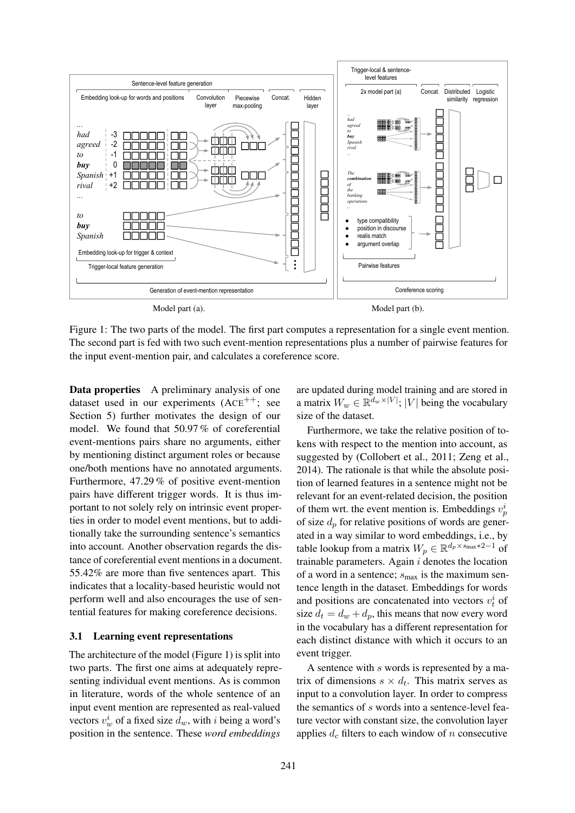

Figure 1: The two parts of the model. The first part computes a representation for a single event mention. The second part is fed with two such event-mention representations plus a number of pairwise features for the input event-mention pair, and calculates a coreference score.

Data properties A preliminary analysis of one dataset used in our experiments (ACE<sup>++</sup>; see Section 5) further motivates the design of our model. We found that 50.97 % of coreferential event-mentions pairs share no arguments, either by mentioning distinct argument roles or because one/both mentions have no annotated arguments. Furthermore, 47.29 % of positive event-mention pairs have different trigger words. It is thus important to not solely rely on intrinsic event properties in order to model event mentions, but to additionally take the surrounding sentence's semantics into account. Another observation regards the distance of coreferential event mentions in a document. 55.42% are more than five sentences apart. This indicates that a locality-based heuristic would not perform well and also encourages the use of sentential features for making coreference decisions.

### 3.1 Learning event representations

The architecture of the model (Figure 1) is split into two parts. The first one aims at adequately representing individual event mentions. As is common in literature, words of the whole sentence of an input event mention are represented as real-valued vectors  $v_w^i$  of a fixed size  $d_w$ , with i being a word's position in the sentence. These *word embeddings*

are updated during model training and are stored in a matrix  $W_w \in \mathbb{R}^{d_w \times |V|}$ ; |V| being the vocabulary size of the dataset.

Furthermore, we take the relative position of tokens with respect to the mention into account, as suggested by (Collobert et al., 2011; Zeng et al., 2014). The rationale is that while the absolute position of learned features in a sentence might not be relevant for an event-related decision, the position of them wrt. the event mention is. Embeddings  $v_p^i$ of size  $d_p$  for relative positions of words are generated in a way similar to word embeddings, i.e., by table lookup from a matrix  $W_p \in \mathbb{R}^{d_p \times s_{\text{max}} \times 2 - 1}$  of trainable parameters. Again  $i$  denotes the location of a word in a sentence;  $s_{\text{max}}$  is the maximum sentence length in the dataset. Embeddings for words and positions are concatenated into vectors  $v_t^i$  of size  $d_t = d_w + d_p$ , this means that now every word in the vocabulary has a different representation for each distinct distance with which it occurs to an event trigger.

A sentence with s words is represented by a matrix of dimensions  $s \times d_t$ . This matrix serves as input to a convolution layer. In order to compress the semantics of s words into a sentence-level feature vector with constant size, the convolution layer applies  $d_c$  filters to each window of n consecutive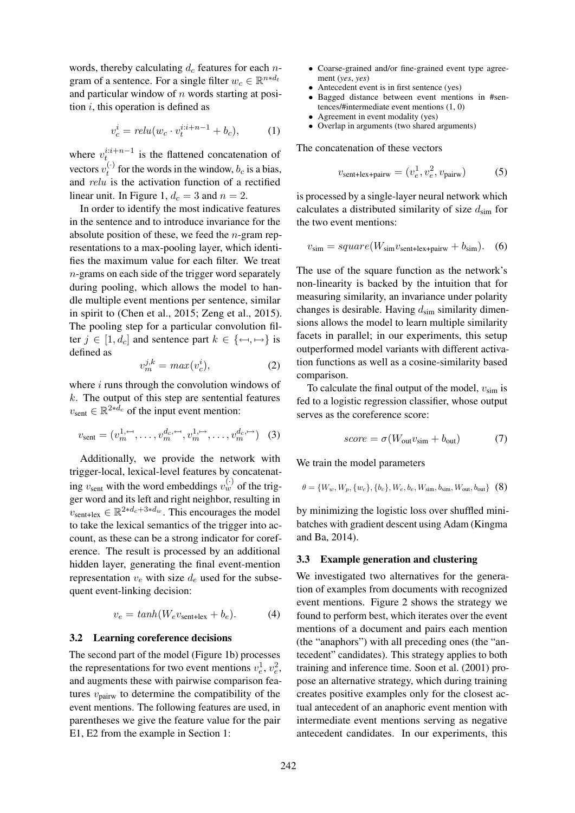words, thereby calculating  $d_c$  features for each ngram of a sentence. For a single filter  $w_c \in \mathbb{R}^{n*d_t}$ and particular window of  $n$  words starting at position  $i$ , this operation is defined as

$$
v_c^i = relu(w_c \cdot v_t^{i:i+n-1} + b_c), \tag{1}
$$

where  $v_{t}^{i:i+n-1}$  is the flattened concatenation of vectors  $v_t^{(\cdot)}$  for the words in the window,  $b_c$  is a bias, and relu is the activation function of a rectified linear unit. In Figure 1,  $d_c = 3$  and  $n = 2$ .

In order to identify the most indicative features in the sentence and to introduce invariance for the absolute position of these, we feed the  $n$ -gram representations to a max-pooling layer, which identifies the maximum value for each filter. We treat n-grams on each side of the trigger word separately during pooling, which allows the model to handle multiple event mentions per sentence, similar in spirit to (Chen et al., 2015; Zeng et al., 2015). The pooling step for a particular convolution filter  $j \in [1, d_c]$  and sentence part  $k \in \{\leftarrow, \leftarrow\}$  is defined as

$$
v_m^{j,k} = max(v_c^i), \tag{2}
$$

where  $i$  runs through the convolution windows of  $k$ . The output of this step are sentential features  $v_{\text{sent}} \in \mathbb{R}^{2*d_c}$  of the input event mention:

$$
v_{\text{sent}} = (v_m^{1, \leftarrow}, \dots, v_m^{d_c, \leftarrow}, v_m^{1, \leftarrow}, \dots, v_m^{d_c, \leftarrow}) \quad (3)
$$

Additionally, we provide the network with trigger-local, lexical-level features by concatenating  $v_{\text{sent}}$  with the word embeddings  $v_w^{(\cdot)}$  of the trigger word and its left and right neighbor, resulting in  $v_{\text{sent+lex}} \in \mathbb{R}^{2*d_c + 3*d_w}$ . This encourages the model to take the lexical semantics of the trigger into account, as these can be a strong indicator for coreference. The result is processed by an additional hidden layer, generating the final event-mention representation  $v_e$  with size  $d_e$  used for the subsequent event-linking decision:

$$
v_e = \tanh(W_e v_{\text{sent+lex}} + b_e). \tag{4}
$$

### 3.2 Learning coreference decisions

The second part of the model (Figure 1b) processes the representations for two event mentions  $v_e^1$ ,  $v_e^2$ , and augments these with pairwise comparison features  $v_{\text{pairw}}$  to determine the compatibility of the event mentions. The following features are used, in parentheses we give the feature value for the pair E1, E2 from the example in Section 1:

- Coarse-grained and/or fine-grained event type agreement (*yes*, *yes*)
- Antecedent event is in first sentence (yes)
- Bagged distance between event mentions in #sentences/#intermediate event mentions (1, 0)
- Agreement in event modality (yes)
- Overlap in arguments (two shared arguments)

The concatenation of these vectors

$$
v_{\text{sent+lex+pairw}} = (v_e^1, v_e^2, v_{\text{pairw}}) \tag{5}
$$

is processed by a single-layer neural network which calculates a distributed similarity of size  $d_{\text{sim}}$  for the two event mentions:

$$
v_{\rm sim} = square(W_{\rm sim}v_{\rm sent+lex+pairw} + b_{\rm sim}).
$$
 (6)

The use of the square function as the network's non-linearity is backed by the intuition that for measuring similarity, an invariance under polarity changes is desirable. Having  $d_{sim}$  similarity dimensions allows the model to learn multiple similarity facets in parallel; in our experiments, this setup outperformed model variants with different activation functions as well as a cosine-similarity based comparison.

To calculate the final output of the model,  $v_{\text{sim}}$  is fed to a logistic regression classifier, whose output serves as the coreference score:

$$
score = \sigma(W_{out}v_{sim} + b_{out})
$$
 (7)

We train the model parameters

$$
\theta = \{W_w, W_p, \{w_c\}, \{b_c\}, W_e, b_e, W_{\text{sim}}, b_{\text{sim}}, W_{\text{out}}, b_{\text{out}}\}
$$
 (8)

by minimizing the logistic loss over shuffled minibatches with gradient descent using Adam (Kingma and Ba, 2014).

#### 3.3 Example generation and clustering

We investigated two alternatives for the generation of examples from documents with recognized event mentions. Figure 2 shows the strategy we found to perform best, which iterates over the event mentions of a document and pairs each mention (the "anaphors") with all preceding ones (the "antecedent" candidates). This strategy applies to both training and inference time. Soon et al. (2001) propose an alternative strategy, which during training creates positive examples only for the closest actual antecedent of an anaphoric event mention with intermediate event mentions serving as negative antecedent candidates. In our experiments, this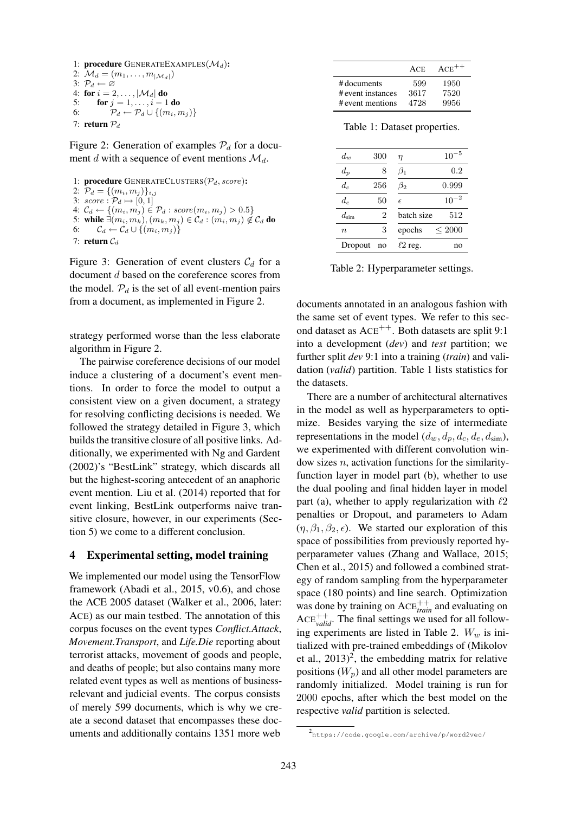```
1: procedure GENERATEEXAMPLES(\mathcal{M}_d):
2: \mathcal{M}_d = (m_1, \ldots, m_{|\mathcal{M}_d|})3: \mathcal{P}_d \leftarrow \varnothing4: for i = 2, ..., |\mathcal{M}_d| do<br>5: for i = 1, ..., i - 15: for j = 1, ..., i - 1 do
6: \mathcal{P}_d \leftarrow \mathcal{P}_d \cup \{(m_i, m_j)\}7: return P_d
```
Figure 2: Generation of examples  $P_d$  for a document d with a sequence of event mentions  $\mathcal{M}_d$ .

```
1: procedure GENERATECLUSTERS(\mathcal{P}_d, score):
2: \mathcal{P}_d = \{(m_i, m_j)\}_{i,j}3: score: \mathcal{P}_d \mapsto [0, 1]4: C_d \leftarrow \{(m_i, m_j) \in P_d : score(m_i, m_j) > 0.5\}5: while \exists (m_i, m_k), (m_k, m_j) \in C_d : (m_i, m_j) \notin C_d do
6: \mathcal{C}_d \leftarrow \mathcal{C}_d \cup \{(m_i, m_j)\}\7: return C_d
```
Figure 3: Generation of event clusters  $C_d$  for a document d based on the coreference scores from the model.  $P_d$  is the set of all event-mention pairs from a document, as implemented in Figure 2.

strategy performed worse than the less elaborate algorithm in Figure 2.

The pairwise coreference decisions of our model induce a clustering of a document's event mentions. In order to force the model to output a consistent view on a given document, a strategy for resolving conflicting decisions is needed. We followed the strategy detailed in Figure 3, which builds the transitive closure of all positive links. Additionally, we experimented with Ng and Gardent (2002)'s "BestLink" strategy, which discards all but the highest-scoring antecedent of an anaphoric event mention. Liu et al. (2014) reported that for event linking, BestLink outperforms naive transitive closure, however, in our experiments (Section 5) we come to a different conclusion.

### 4 Experimental setting, model training

We implemented our model using the TensorFlow framework (Abadi et al., 2015, v0.6), and chose the ACE 2005 dataset (Walker et al., 2006, later: ACE) as our main testbed. The annotation of this corpus focuses on the event types *Conflict.Attack*, *Movement.Transport*, and *Life.Die* reporting about terrorist attacks, movement of goods and people, and deaths of people; but also contains many more related event types as well as mentions of businessrelevant and judicial events. The corpus consists of merely 599 documents, which is why we create a second dataset that encompasses these documents and additionally contains 1351 more web

|                   | <b>ACE</b> | $ACE^{++}$ |
|-------------------|------------|------------|
| # documents       | 599        | 1950       |
| # event instances | 3617       | 7520       |
| # event mentions  | 4728       | 9956       |

Table 1: Dataset properties.

| $10^{-5}$  |
|------------|
| 0.2        |
| 0.999      |
| $10^{-2}$  |
| 512        |
| ${}<$ 2000 |
| no         |
|            |

Table 2: Hyperparameter settings.

documents annotated in an analogous fashion with the same set of event types. We refer to this second dataset as  $ACE^{++}$ . Both datasets are split 9:1 into a development (*dev*) and *test* partition; we further split *dev* 9:1 into a training (*train*) and validation (*valid*) partition. Table 1 lists statistics for the datasets.

There are a number of architectural alternatives in the model as well as hyperparameters to optimize. Besides varying the size of intermediate representations in the model  $(d_w, d_p, d_c, d_{\rm sim})$ , we experimented with different convolution window sizes  $n$ , activation functions for the similarityfunction layer in model part (b), whether to use the dual pooling and final hidden layer in model part (a), whether to apply regularization with  $\ell 2$ penalties or Dropout, and parameters to Adam  $(\eta, \beta_1, \beta_2, \epsilon)$ . We started our exploration of this space of possibilities from previously reported hyperparameter values (Zhang and Wallace, 2015; Chen et al., 2015) and followed a combined strategy of random sampling from the hyperparameter space (180 points) and line search. Optimization was done by training on ACE<sup>+++</sup> and evaluating on  $ACE<sub>valid</sub><sup>++</sup>$ . The final settings we used for all following experiments are listed in Table 2.  $W_w$  is initialized with pre-trained embeddings of (Mikolov et al.,  $2013)^2$ , the embedding matrix for relative positions  $(W_p)$  and all other model parameters are randomly initialized. Model training is run for 2000 epochs, after which the best model on the respective *valid* partition is selected.

<sup>2</sup> https://code.google.com/archive/p/word2vec/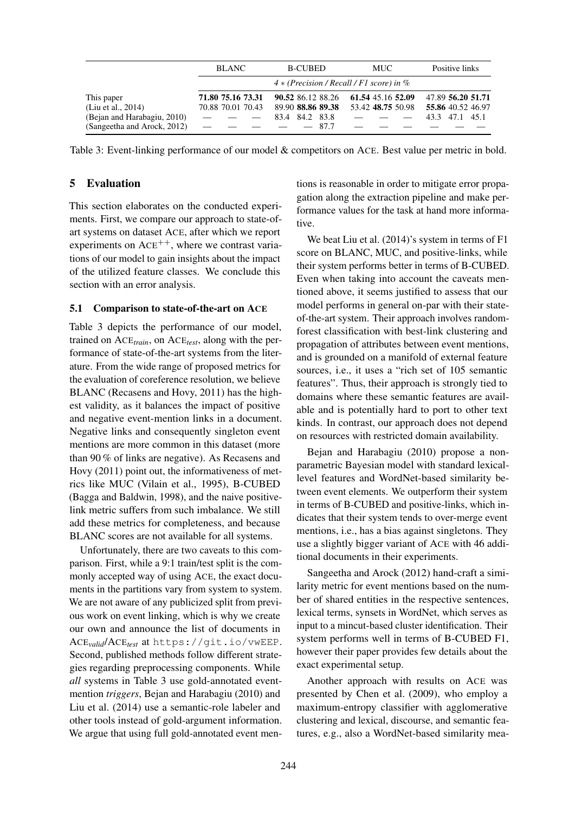|                                                                 | <b>BLANC</b>                           | <b>B-CUBED</b>                                              | <b>MUC</b>                             | Positive links                                           |
|-----------------------------------------------------------------|----------------------------------------|-------------------------------------------------------------|----------------------------------------|----------------------------------------------------------|
|                                                                 |                                        | $4 * (Precision / Recall / F1 score)$ in %                  |                                        |                                                          |
| This paper<br>(Liu et al., 2014)<br>(Bejan and Harabagiu, 2010) | 71.80 75.16 73.31<br>70.88 70.01 70.43 | 90.52 86.12 88.26<br>89.90 88.86 89.38<br>84.2 83.8<br>83.4 | 61.54 45.16 52.09<br>53.42 48.75 50.98 | 47.89 56.20 51.71<br>55.86 40.52 46.97<br>43.3 47.1 45.1 |
| (Sangeetha and Arock, 2012)                                     |                                        | $-87.7$                                                     |                                        |                                                          |

Table 3: Event-linking performance of our model & competitors on ACE. Best value per metric in bold.

## 5 Evaluation

This section elaborates on the conducted experiments. First, we compare our approach to state-ofart systems on dataset ACE, after which we report experiments on  $ACE^{++}$ , where we contrast variations of our model to gain insights about the impact of the utilized feature classes. We conclude this section with an error analysis.

#### 5.1 Comparison to state-of-the-art on ACE

Table 3 depicts the performance of our model, trained on ACE*train*, on ACE*test*, along with the performance of state-of-the-art systems from the literature. From the wide range of proposed metrics for the evaluation of coreference resolution, we believe BLANC (Recasens and Hovy, 2011) has the highest validity, as it balances the impact of positive and negative event-mention links in a document. Negative links and consequently singleton event mentions are more common in this dataset (more than 90 % of links are negative). As Recasens and Hovy (2011) point out, the informativeness of metrics like MUC (Vilain et al., 1995), B-CUBED (Bagga and Baldwin, 1998), and the naive positivelink metric suffers from such imbalance. We still add these metrics for completeness, and because BLANC scores are not available for all systems.

Unfortunately, there are two caveats to this comparison. First, while a 9:1 train/test split is the commonly accepted way of using ACE, the exact documents in the partitions vary from system to system. We are not aware of any publicized split from previous work on event linking, which is why we create our own and announce the list of documents in ACE*valid*/ACE*test* at https://git.io/vwEEP. Second, published methods follow different strategies regarding preprocessing components. While *all* systems in Table 3 use gold-annotated eventmention *triggers*, Bejan and Harabagiu (2010) and Liu et al. (2014) use a semantic-role labeler and other tools instead of gold-argument information. We argue that using full gold-annotated event mentions is reasonable in order to mitigate error propagation along the extraction pipeline and make performance values for the task at hand more informative.

We beat Liu et al. (2014)'s system in terms of F1 score on BLANC, MUC, and positive-links, while their system performs better in terms of B-CUBED. Even when taking into account the caveats mentioned above, it seems justified to assess that our model performs in general on-par with their stateof-the-art system. Their approach involves randomforest classification with best-link clustering and propagation of attributes between event mentions, and is grounded on a manifold of external feature sources, i.e., it uses a "rich set of 105 semantic features". Thus, their approach is strongly tied to domains where these semantic features are available and is potentially hard to port to other text kinds. In contrast, our approach does not depend on resources with restricted domain availability.

Bejan and Harabagiu (2010) propose a nonparametric Bayesian model with standard lexicallevel features and WordNet-based similarity between event elements. We outperform their system in terms of B-CUBED and positive-links, which indicates that their system tends to over-merge event mentions, i.e., has a bias against singletons. They use a slightly bigger variant of ACE with 46 additional documents in their experiments.

Sangeetha and Arock (2012) hand-craft a similarity metric for event mentions based on the number of shared entities in the respective sentences, lexical terms, synsets in WordNet, which serves as input to a mincut-based cluster identification. Their system performs well in terms of B-CUBED F1, however their paper provides few details about the exact experimental setup.

Another approach with results on ACE was presented by Chen et al. (2009), who employ a maximum-entropy classifier with agglomerative clustering and lexical, discourse, and semantic features, e.g., also a WordNet-based similarity mea-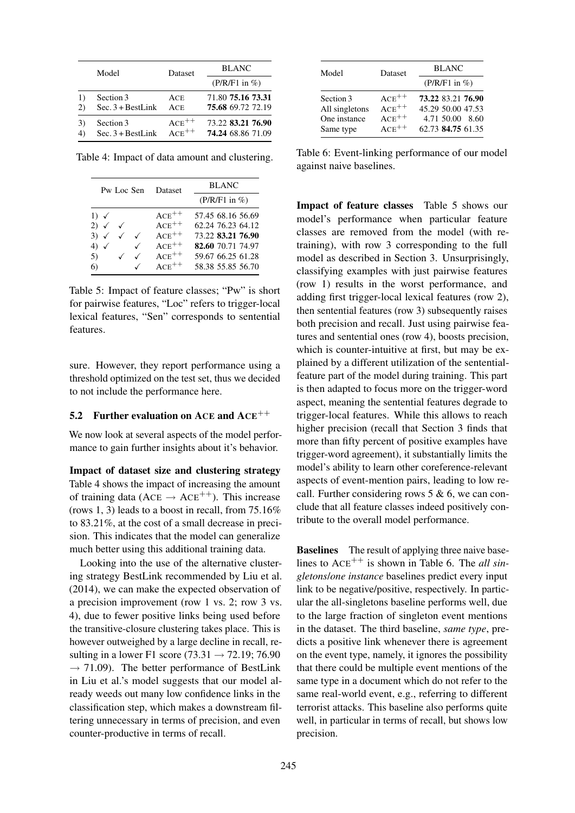|                | Model               | <b>Dataset</b> | <b>BLANC</b>       |  |
|----------------|---------------------|----------------|--------------------|--|
|                |                     |                | $(P/R/F1$ in $%$ ) |  |
| 2)             | Section 3           | ACE            | 71.80 75.16 73.31  |  |
|                | $Sec. 3 + BestLink$ | ACE            | 75.68 69.72 72.19  |  |
| 3)             | Section 3           | $ACE^{++}$     | 73.22 83.21 76.90  |  |
| $\overline{4}$ | $Sec. 3 + BestLink$ | $ACE^{++}$     | 74.24 68.86 71.09  |  |

Table 4: Impact of data amount and clustering.

| Pw Loc Sen                                                              |  | Dataset                                                                                   | <b>BLANC</b>                                                                                                               |  |
|-------------------------------------------------------------------------|--|-------------------------------------------------------------------------------------------|----------------------------------------------------------------------------------------------------------------------------|--|
|                                                                         |  |                                                                                           | $(P/R/F1$ in %)                                                                                                            |  |
| 1) $\checkmark$<br>$2) \checkmark$<br>$3) \checkmark$<br>4)<br>5)<br>6) |  | $ACE^{++}$<br>$ACE^{++}$<br>$ACE^{++}$<br>$\mathsf{ACE}^{++}$<br>$ACE^{++}$<br>$ACE^{++}$ | 57.45 68.16 56.69<br>62.24 76.23 64.12<br>73.22 83.21 76.90<br>82.60 70.71 74.97<br>59.67 66.25 61.28<br>58.38 55.85 56.70 |  |

Table 5: Impact of feature classes; "Pw" is short for pairwise features, "Loc" refers to trigger-local lexical features, "Sen" corresponds to sentential features.

sure. However, they report performance using a threshold optimized on the test set, thus we decided to not include the performance here.

#### 5.2 Further evaluation on ACE and  $ACE^{++}$

We now look at several aspects of the model performance to gain further insights about it's behavior.

Impact of dataset size and clustering strategy Table 4 shows the impact of increasing the amount of training data ( $ACE \rightarrow ACE^{++}$ ). This increase (rows 1, 3) leads to a boost in recall, from 75.16% to 83.21%, at the cost of a small decrease in precision. This indicates that the model can generalize much better using this additional training data.

Looking into the use of the alternative clustering strategy BestLink recommended by Liu et al. (2014), we can make the expected observation of a precision improvement (row 1 vs. 2; row 3 vs. 4), due to fewer positive links being used before the transitive-closure clustering takes place. This is however outweighed by a large decline in recall, resulting in a lower F1 score (73.31  $\rightarrow$  72.19; 76.90  $\rightarrow$  71.09). The better performance of BestLink in Liu et al.'s model suggests that our model already weeds out many low confidence links in the classification step, which makes a downstream filtering unnecessary in terms of precision, and even counter-productive in terms of recall.

| Model          | Dataset    | <b>BLANC</b>       |
|----------------|------------|--------------------|
|                |            | $(P/R/F1$ in %)    |
| Section 3      | $ACE^{++}$ | 73.22 83.21 76.90  |
| All singletons | $ACE^{++}$ | 45.29 50.00 47.53  |
| One instance   | $ACE^{++}$ | 4.71 50.00<br>8.60 |
| Same type      | $ACE^{++}$ | 62.73 84.75 61.35  |

Table 6: Event-linking performance of our model against naive baselines.

Impact of feature classes Table 5 shows our model's performance when particular feature classes are removed from the model (with retraining), with row 3 corresponding to the full model as described in Section 3. Unsurprisingly, classifying examples with just pairwise features (row 1) results in the worst performance, and adding first trigger-local lexical features (row 2), then sentential features (row 3) subsequently raises both precision and recall. Just using pairwise features and sentential ones (row 4), boosts precision, which is counter-intuitive at first, but may be explained by a different utilization of the sententialfeature part of the model during training. This part is then adapted to focus more on the trigger-word aspect, meaning the sentential features degrade to trigger-local features. While this allows to reach higher precision (recall that Section 3 finds that more than fifty percent of positive examples have trigger-word agreement), it substantially limits the model's ability to learn other coreference-relevant aspects of event-mention pairs, leading to low recall. Further considering rows  $5 & 6$ , we can conclude that all feature classes indeed positively contribute to the overall model performance.

**Baselines** The result of applying three naive baselines to  $ACE^{++}$  is shown in Table 6. The *all singletons*/*one instance* baselines predict every input link to be negative/positive, respectively. In particular the all-singletons baseline performs well, due to the large fraction of singleton event mentions in the dataset. The third baseline, *same type*, predicts a positive link whenever there is agreement on the event type, namely, it ignores the possibility that there could be multiple event mentions of the same type in a document which do not refer to the same real-world event, e.g., referring to different terrorist attacks. This baseline also performs quite well, in particular in terms of recall, but shows low precision.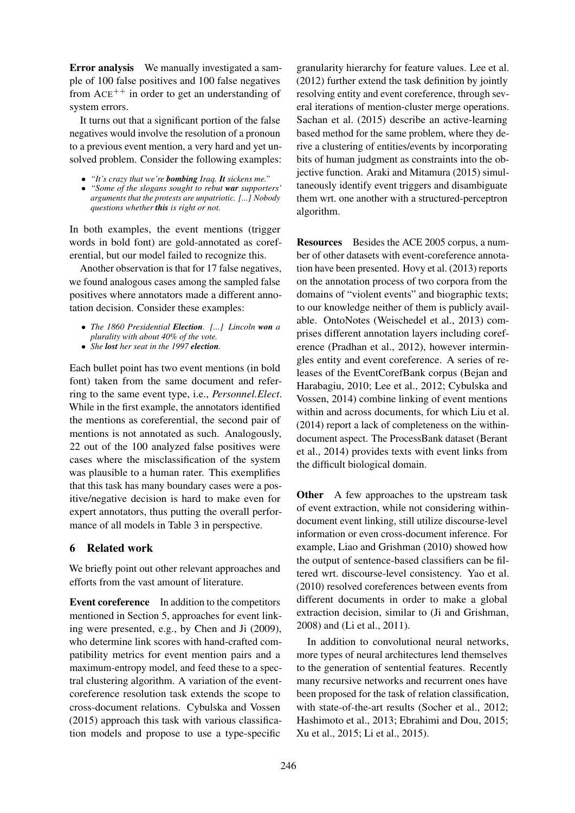Error analysis We manually investigated a sample of 100 false positives and 100 false negatives from  $ACE^{++}$  in order to get an understanding of system errors.

It turns out that a significant portion of the false negatives would involve the resolution of a pronoun to a previous event mention, a very hard and yet unsolved problem. Consider the following examples:

- *"It's crazy that we're bombing Iraq. It sickens me."*
- *"Some of the slogans sought to rebut war supporters' arguments that the protests are unpatriotic. [...] Nobody questions whether this is right or not.*

In both examples, the event mentions (trigger words in bold font) are gold-annotated as coreferential, but our model failed to recognize this.

Another observation is that for 17 false negatives, we found analogous cases among the sampled false positives where annotators made a different annotation decision. Consider these examples:

- *The 1860 Presidential Election. [...] Lincoln won a plurality with about 40% of the vote.*
- *She lost her seat in the 1997 election.*

Each bullet point has two event mentions (in bold font) taken from the same document and referring to the same event type, i.e., *Personnel.Elect*. While in the first example, the annotators identified the mentions as coreferential, the second pair of mentions is not annotated as such. Analogously, 22 out of the 100 analyzed false positives were cases where the misclassification of the system was plausible to a human rater. This exemplifies that this task has many boundary cases were a positive/negative decision is hard to make even for expert annotators, thus putting the overall performance of all models in Table 3 in perspective.

## 6 Related work

We briefly point out other relevant approaches and efforts from the vast amount of literature.

Event coreference In addition to the competitors mentioned in Section 5, approaches for event linking were presented, e.g., by Chen and Ji (2009), who determine link scores with hand-crafted compatibility metrics for event mention pairs and a maximum-entropy model, and feed these to a spectral clustering algorithm. A variation of the eventcoreference resolution task extends the scope to cross-document relations. Cybulska and Vossen (2015) approach this task with various classification models and propose to use a type-specific

granularity hierarchy for feature values. Lee et al. (2012) further extend the task definition by jointly resolving entity and event coreference, through several iterations of mention-cluster merge operations. Sachan et al. (2015) describe an active-learning based method for the same problem, where they derive a clustering of entities/events by incorporating bits of human judgment as constraints into the objective function. Araki and Mitamura (2015) simultaneously identify event triggers and disambiguate them wrt. one another with a structured-perceptron algorithm.

Resources Besides the ACE 2005 corpus, a number of other datasets with event-coreference annotation have been presented. Hovy et al. (2013) reports on the annotation process of two corpora from the domains of "violent events" and biographic texts; to our knowledge neither of them is publicly available. OntoNotes (Weischedel et al., 2013) comprises different annotation layers including coreference (Pradhan et al., 2012), however intermingles entity and event coreference. A series of releases of the EventCorefBank corpus (Bejan and Harabagiu, 2010; Lee et al., 2012; Cybulska and Vossen, 2014) combine linking of event mentions within and across documents, for which Liu et al. (2014) report a lack of completeness on the withindocument aspect. The ProcessBank dataset (Berant et al., 2014) provides texts with event links from the difficult biological domain.

**Other** A few approaches to the upstream task of event extraction, while not considering withindocument event linking, still utilize discourse-level information or even cross-document inference. For example, Liao and Grishman (2010) showed how the output of sentence-based classifiers can be filtered wrt. discourse-level consistency. Yao et al. (2010) resolved coreferences between events from different documents in order to make a global extraction decision, similar to (Ji and Grishman, 2008) and (Li et al., 2011).

In addition to convolutional neural networks, more types of neural architectures lend themselves to the generation of sentential features. Recently many recursive networks and recurrent ones have been proposed for the task of relation classification, with state-of-the-art results (Socher et al., 2012; Hashimoto et al., 2013; Ebrahimi and Dou, 2015; Xu et al., 2015; Li et al., 2015).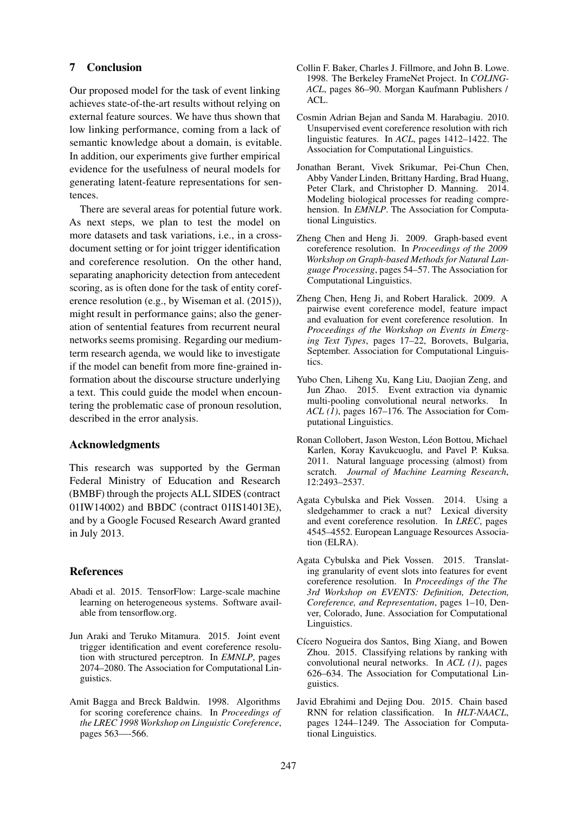## 7 Conclusion

Our proposed model for the task of event linking achieves state-of-the-art results without relying on external feature sources. We have thus shown that low linking performance, coming from a lack of semantic knowledge about a domain, is evitable. In addition, our experiments give further empirical evidence for the usefulness of neural models for generating latent-feature representations for sentences.

There are several areas for potential future work. As next steps, we plan to test the model on more datasets and task variations, i.e., in a crossdocument setting or for joint trigger identification and coreference resolution. On the other hand, separating anaphoricity detection from antecedent scoring, as is often done for the task of entity coreference resolution (e.g., by Wiseman et al. (2015)), might result in performance gains; also the generation of sentential features from recurrent neural networks seems promising. Regarding our mediumterm research agenda, we would like to investigate if the model can benefit from more fine-grained information about the discourse structure underlying a text. This could guide the model when encountering the problematic case of pronoun resolution, described in the error analysis.

### Acknowledgments

This research was supported by the German Federal Ministry of Education and Research (BMBF) through the projects ALL SIDES (contract 01IW14002) and BBDC (contract 01IS14013E), and by a Google Focused Research Award granted in July 2013.

### References

- Abadi et al. 2015. TensorFlow: Large-scale machine learning on heterogeneous systems. Software available from tensorflow.org.
- Jun Araki and Teruko Mitamura. 2015. Joint event trigger identification and event coreference resolution with structured perceptron. In *EMNLP*, pages 2074–2080. The Association for Computational Linguistics.
- Amit Bagga and Breck Baldwin. 1998. Algorithms for scoring coreference chains. In *Proceedings of the LREC 1998 Workshop on Linguistic Coreference*, pages 563—-566.
- Collin F. Baker, Charles J. Fillmore, and John B. Lowe. 1998. The Berkeley FrameNet Project. In *COLING-ACL*, pages 86–90. Morgan Kaufmann Publishers / ACL.
- Cosmin Adrian Bejan and Sanda M. Harabagiu. 2010. Unsupervised event coreference resolution with rich linguistic features. In *ACL*, pages 1412–1422. The Association for Computational Linguistics.
- Jonathan Berant, Vivek Srikumar, Pei-Chun Chen, Abby Vander Linden, Brittany Harding, Brad Huang, Peter Clark, and Christopher D. Manning. 2014. Modeling biological processes for reading comprehension. In *EMNLP*. The Association for Computational Linguistics.
- Zheng Chen and Heng Ji. 2009. Graph-based event coreference resolution. In *Proceedings of the 2009 Workshop on Graph-based Methods for Natural Language Processing*, pages 54–57. The Association for Computational Linguistics.
- Zheng Chen, Heng Ji, and Robert Haralick. 2009. A pairwise event coreference model, feature impact and evaluation for event coreference resolution. In *Proceedings of the Workshop on Events in Emerging Text Types*, pages 17–22, Borovets, Bulgaria, September. Association for Computational Linguistics.
- Yubo Chen, Liheng Xu, Kang Liu, Daojian Zeng, and Jun Zhao. 2015. Event extraction via dynamic multi-pooling convolutional neural networks. In *ACL (1)*, pages 167–176. The Association for Computational Linguistics.
- Ronan Collobert, Jason Weston, Léon Bottou, Michael Karlen, Koray Kavukcuoglu, and Pavel P. Kuksa. 2011. Natural language processing (almost) from scratch. *Journal of Machine Learning Research*, 12:2493–2537.
- Agata Cybulska and Piek Vossen. 2014. Using a sledgehammer to crack a nut? Lexical diversity and event coreference resolution. In *LREC*, pages 4545–4552. European Language Resources Association (ELRA).
- Agata Cybulska and Piek Vossen. 2015. Translating granularity of event slots into features for event coreference resolution. In *Proceedings of the The 3rd Workshop on EVENTS: Definition, Detection, Coreference, and Representation*, pages 1–10, Denver, Colorado, June. Association for Computational Linguistics.
- Cícero Nogueira dos Santos, Bing Xiang, and Bowen Zhou. 2015. Classifying relations by ranking with convolutional neural networks. In *ACL (1)*, pages 626–634. The Association for Computational Linguistics.
- Javid Ebrahimi and Dejing Dou. 2015. Chain based RNN for relation classification. In *HLT-NAACL*, pages 1244–1249. The Association for Computational Linguistics.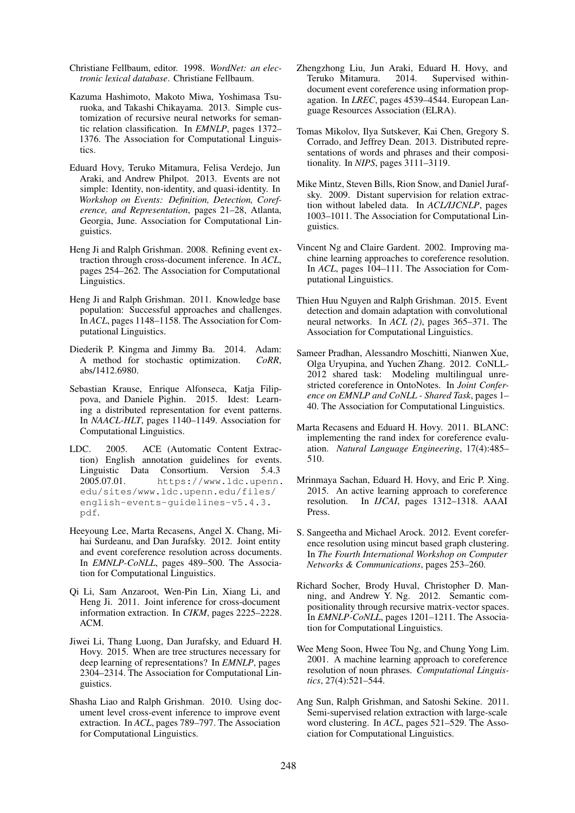- Christiane Fellbaum, editor. 1998. *WordNet: an electronic lexical database*. Christiane Fellbaum.
- Kazuma Hashimoto, Makoto Miwa, Yoshimasa Tsuruoka, and Takashi Chikayama. 2013. Simple customization of recursive neural networks for semantic relation classification. In *EMNLP*, pages 1372– 1376. The Association for Computational Linguistics.
- Eduard Hovy, Teruko Mitamura, Felisa Verdejo, Jun Araki, and Andrew Philpot. 2013. Events are not simple: Identity, non-identity, and quasi-identity. In *Workshop on Events: Definition, Detection, Coreference, and Representation*, pages 21–28, Atlanta, Georgia, June. Association for Computational Linguistics.
- Heng Ji and Ralph Grishman. 2008. Refining event extraction through cross-document inference. In *ACL*, pages 254–262. The Association for Computational Linguistics.
- Heng Ji and Ralph Grishman. 2011. Knowledge base population: Successful approaches and challenges. In *ACL*, pages 1148–1158. The Association for Computational Linguistics.
- Diederik P. Kingma and Jimmy Ba. 2014. Adam: A method for stochastic optimization. *CoRR*, abs/1412.6980.
- Sebastian Krause, Enrique Alfonseca, Katja Filippova, and Daniele Pighin. 2015. Idest: Learning a distributed representation for event patterns. In *NAACL-HLT*, pages 1140–1149. Association for Computational Linguistics.
- LDC. 2005. ACE (Automatic Content Extraction) English annotation guidelines for events. Linguistic Data Consortium. Version 5.4.3 2005.07.01. https://www.ldc.upenn. edu/sites/www.ldc.upenn.edu/files/ english-events-guidelines-v5.4.3. pdf.
- Heeyoung Lee, Marta Recasens, Angel X. Chang, Mihai Surdeanu, and Dan Jurafsky. 2012. Joint entity and event coreference resolution across documents. In *EMNLP-CoNLL*, pages 489–500. The Association for Computational Linguistics.
- Qi Li, Sam Anzaroot, Wen-Pin Lin, Xiang Li, and Heng Ji. 2011. Joint inference for cross-document information extraction. In *CIKM*, pages 2225–2228. ACM.
- Jiwei Li, Thang Luong, Dan Jurafsky, and Eduard H. Hovy. 2015. When are tree structures necessary for deep learning of representations? In *EMNLP*, pages 2304–2314. The Association for Computational Linguistics.
- Shasha Liao and Ralph Grishman. 2010. Using document level cross-event inference to improve event extraction. In *ACL*, pages 789–797. The Association for Computational Linguistics.
- Zhengzhong Liu, Jun Araki, Eduard H. Hovy, and Teruko Mitamura. 2014. Supervised withindocument event coreference using information propagation. In *LREC*, pages 4539–4544. European Language Resources Association (ELRA).
- Tomas Mikolov, Ilya Sutskever, Kai Chen, Gregory S. Corrado, and Jeffrey Dean. 2013. Distributed representations of words and phrases and their compositionality. In *NIPS*, pages 3111–3119.
- Mike Mintz, Steven Bills, Rion Snow, and Daniel Jurafsky. 2009. Distant supervision for relation extraction without labeled data. In *ACL/IJCNLP*, pages 1003–1011. The Association for Computational Linguistics.
- Vincent Ng and Claire Gardent. 2002. Improving machine learning approaches to coreference resolution. In *ACL*, pages 104–111. The Association for Computational Linguistics.
- Thien Huu Nguyen and Ralph Grishman. 2015. Event detection and domain adaptation with convolutional neural networks. In *ACL (2)*, pages 365–371. The Association for Computational Linguistics.
- Sameer Pradhan, Alessandro Moschitti, Nianwen Xue, Olga Uryupina, and Yuchen Zhang. 2012. CoNLL-2012 shared task: Modeling multilingual unrestricted coreference in OntoNotes. In *Joint Conference on EMNLP and CoNLL - Shared Task*, pages 1– 40. The Association for Computational Linguistics.
- Marta Recasens and Eduard H. Hovy. 2011. BLANC: implementing the rand index for coreference evaluation. *Natural Language Engineering*, 17(4):485– 510.
- Mrinmaya Sachan, Eduard H. Hovy, and Eric P. Xing. 2015. An active learning approach to coreference resolution. In *IJCAI*, pages 1312–1318. AAAI Press.
- S. Sangeetha and Michael Arock. 2012. Event coreference resolution using mincut based graph clustering. In *The Fourth International Workshop on Computer Networks & Communications*, pages 253–260.
- Richard Socher, Brody Huval, Christopher D. Manning, and Andrew Y. Ng. 2012. Semantic compositionality through recursive matrix-vector spaces. In *EMNLP-CoNLL*, pages 1201–1211. The Association for Computational Linguistics.
- Wee Meng Soon, Hwee Tou Ng, and Chung Yong Lim. 2001. A machine learning approach to coreference resolution of noun phrases. *Computational Linguistics*, 27(4):521–544.
- Ang Sun, Ralph Grishman, and Satoshi Sekine. 2011. Semi-supervised relation extraction with large-scale word clustering. In *ACL*, pages 521–529. The Association for Computational Linguistics.